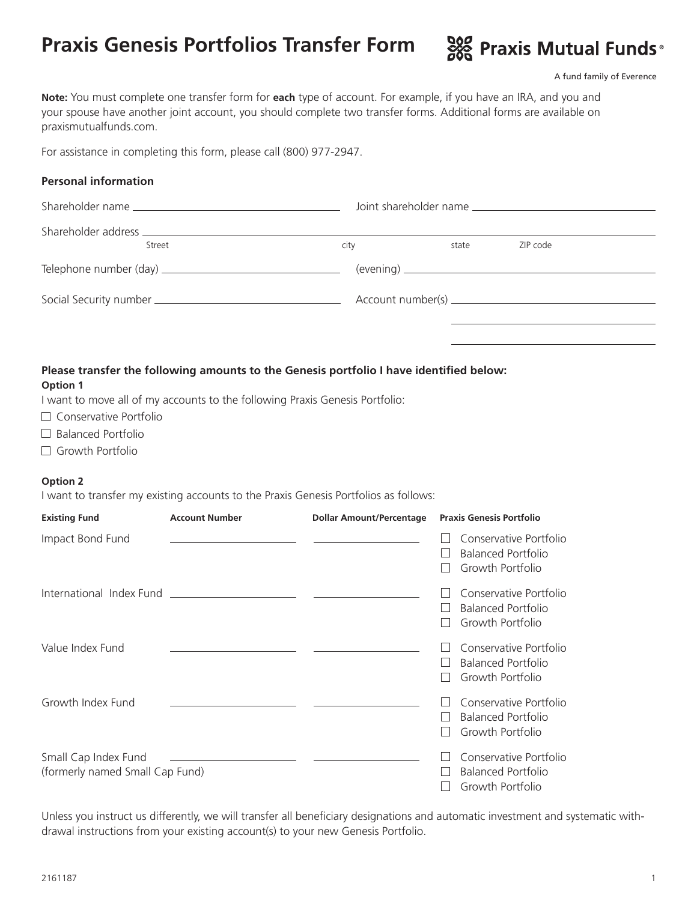# **Praxis Genesis Portfolios Transfer Form**



A fund family of Everence

**Note:** You must complete one transfer form for **each** type of account. For example, if you have an IRA, and you and your spouse have another joint account, you should complete two transfer forms. Additional forms are available on praxismutualfunds.com.

For assistance in completing this form, please call (800) 977-2947.

### **Personal information**

| Street | city | state | ZIP code |  |
|--------|------|-------|----------|--|
|        |      |       |          |  |
|        |      |       |          |  |
|        |      |       |          |  |

## **Please transfer the following amounts to the Genesis portfolio I have identified below:**

#### **Option 1**

I want to move all of my accounts to the following Praxis Genesis Portfolio:

- □ Conservative Portfolio
- $\Box$  Balanced Portfolio
- □ Growth Portfolio

### **Option 2**

I want to transfer my existing accounts to the Praxis Genesis Portfolios as follows:

| <b>Existing Fund</b>                                    | <b>Account Number</b> | <b>Dollar Amount/Percentage</b> | <b>Praxis Genesis Portfolio</b>                                                                          |
|---------------------------------------------------------|-----------------------|---------------------------------|----------------------------------------------------------------------------------------------------------|
| Impact Bond Fund                                        |                       |                                 | Conservative Portfolio<br><b>Balanced Portfolio</b><br>Growth Portfolio                                  |
|                                                         |                       |                                 | Conservative Portfolio<br><b>Balanced Portfolio</b><br>Growth Portfolio                                  |
| Value Index Fund                                        |                       |                                 | Conservative Portfolio<br><b>Balanced Portfolio</b><br>$\mathbf{I}$<br>Growth Portfolio<br>$\mathcal{L}$ |
| Growth Index Fund                                       |                       |                                 | Conservative Portfolio<br><b>Balanced Portfolio</b><br>Growth Portfolio                                  |
| Small Cap Index Fund<br>(formerly named Small Cap Fund) |                       |                                 | Conservative Portfolio<br><b>Balanced Portfolio</b><br>Growth Portfolio                                  |

Unless you instruct us differently, we will transfer all beneficiary designations and automatic investment and systematic withdrawal instructions from your existing account(s) to your new Genesis Portfolio.